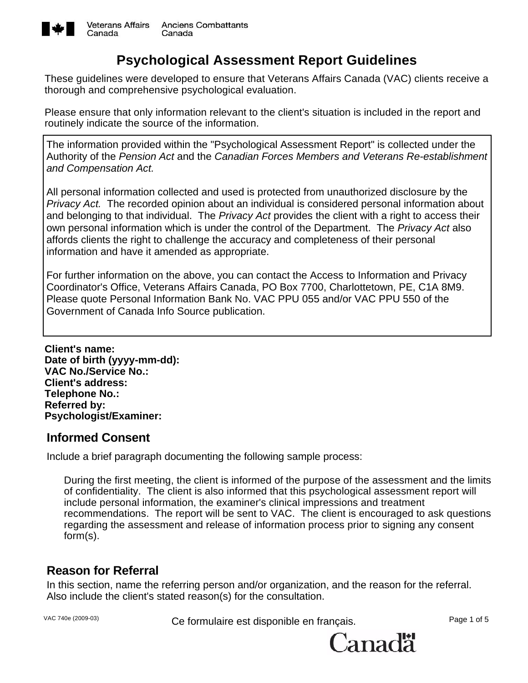

# **Psychological Assessment Report Guidelines**

These guidelines were developed to ensure that Veterans Affairs Canada (VAC) clients receive a thorough and comprehensive psychological evaluation.

Please ensure that only information relevant to the client's situation is included in the report and routinely indicate the source of the information.

The information provided within the "Psychological Assessment Report" is collected under the Authority of the *Pension Act* and the *Canadian Forces Members and Veterans Re-establishment and Compensation Act.*

All personal information collected and used is protected from unauthorized disclosure by the *Privacy Act.* The recorded opinion about an individual is considered personal information about and belonging to that individual. The *Privacy Act* provides the client with a right to access their own personal information which is under the control of the Department. The *Privacy Act* also affords clients the right to challenge the accuracy and completeness of their personal information and have it amended as appropriate.

For further information on the above, you can contact the Access to Information and Privacy Coordinator's Office, Veterans Affairs Canada, PO Box 7700, Charlottetown, PE, C1A 8M9. Please quote Personal Information Bank No. VAC PPU 055 and/or VAC PPU 550 of the Government of Canada Info Source publication.

**Client's name: Date of birth (yyyy-mm-dd): VAC No./Service No.: Client's address: Telephone No.: Referred by: Psychologist/Examiner:**

### **Informed Consent**

Include a brief paragraph documenting the following sample process:

During the first meeting, the client is informed of the purpose of the assessment and the limits of confidentiality. The client is also informed that this psychological assessment report will include personal information, the examiner's clinical impressions and treatment recommendations. The report will be sent to VAC. The client is encouraged to ask questions regarding the assessment and release of information process prior to signing any consent form(s).

## **Reason for Referral**

In this section, name the referring person and/or organization, and the reason for the referral. Also include the client's stated reason(s) for the consultation.

VAC 740e (2009-03) **Ce formulaire est disponible en français.** Page 1 of 5



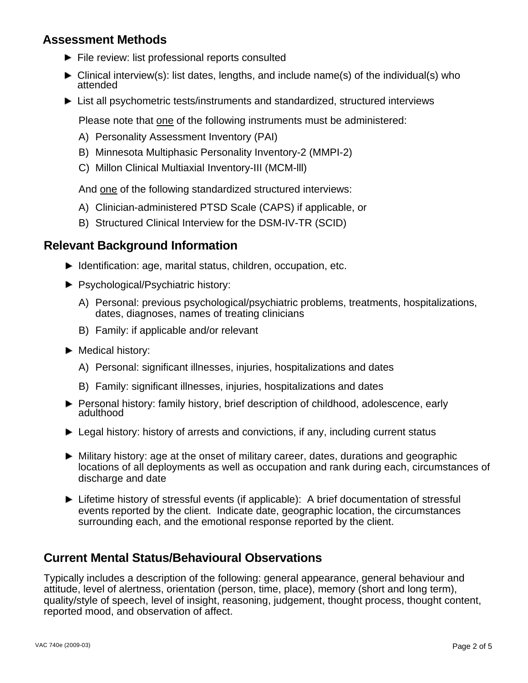## **Assessment Methods**

- $\blacktriangleright$  File review: list professional reports consulted
- Clinical interview(s): list dates, lengths, and include name(s) of the individual(s) who attended
- ► List all psychometric tests/instruments and standardized, structured interviews

Please note that one of the following instruments must be administered:

- A) Personality Assessment Inventory (PAI)
- B) Minnesota Multiphasic Personality Inventory-2 (MMPI-2)
- C) Millon Clinical Multiaxial Inventory-III (MCM-lll)

And one of the following standardized structured interviews:

- A) Clinician-administered PTSD Scale (CAPS) if applicable, or
- B) Structured Clinical Interview for the DSM-IV-TR (SCID)

### **Relevant Background Information**

- $\blacktriangleright$  Identification: age, marital status, children, occupation, etc.
- **Psychological/Psychiatric history:** 
	- A) Personal: previous psychological/psychiatric problems, treatments, hospitalizations, dates, diagnoses, names of treating clinicians
	- B) Family: if applicable and/or relevant
- $\blacktriangleright$  Medical history:
	- A) Personal: significant illnesses, injuries, hospitalizations and dates
	- B) Family: significant illnesses, injuries, hospitalizations and dates
- Personal history: family history, brief description of childhood, adolescence, early adulthood
- ► Legal history: history of arrests and convictions, if any, including current status
- Military history: age at the onset of military career, dates, durations and geographic locations of all deployments as well as occupation and rank during each, circumstances of discharge and date
- ► Lifetime history of stressful events (if applicable): A brief documentation of stressful events reported by the client. Indicate date, geographic location, the circumstances surrounding each, and the emotional response reported by the client.

### **Current Mental Status/Behavioural Observations**

Typically includes a description of the following: general appearance, general behaviour and attitude, level of alertness, orientation (person, time, place), memory (short and long term), quality/style of speech, level of insight, reasoning, judgement, thought process, thought content, reported mood, and observation of affect.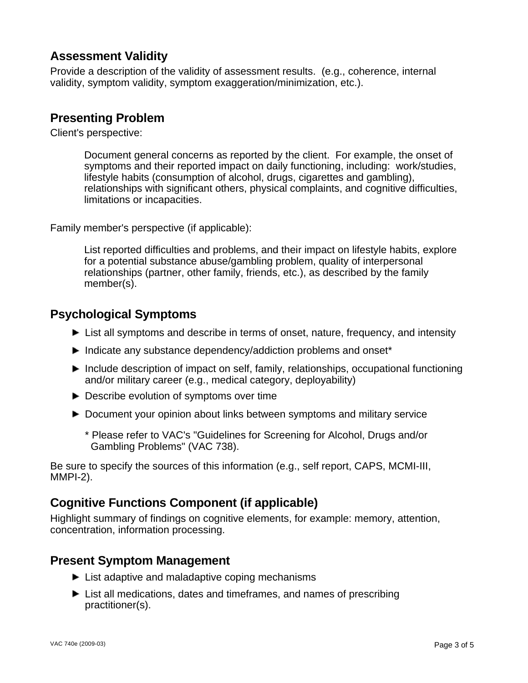### **Assessment Validity**

Provide a description of the validity of assessment results. (e.g., coherence, internal validity, symptom validity, symptom exaggeration/minimization, etc.).

#### **Presenting Problem**

Client's perspective:

Document general concerns as reported by the client. For example, the onset of symptoms and their reported impact on daily functioning, including: work/studies, lifestyle habits (consumption of alcohol, drugs, cigarettes and gambling), relationships with significant others, physical complaints, and cognitive difficulties, limitations or incapacities.

Family member's perspective (if applicable):

List reported difficulties and problems, and their impact on lifestyle habits, explore for a potential substance abuse/gambling problem, quality of interpersonal relationships (partner, other family, friends, etc.), as described by the family member(s).

#### **Psychological Symptoms**

- ► List all symptoms and describe in terms of onset, nature, frequency, and intensity
- Indicate any substance dependency/addiction problems and onset\*
- ► Include description of impact on self, family, relationships, occupational functioning and/or military career (e.g., medical category, deployability)
- ▶ Describe evolution of symptoms over time
- ▶ Document your opinion about links between symptoms and military service
	- \* Please refer to VAC's "Guidelines for Screening for Alcohol, Drugs and/or Gambling Problems" (VAC 738).

Be sure to specify the sources of this information (e.g., self report, CAPS, MCMI-III, MMPI-2).

#### **Cognitive Functions Component (if applicable)**

Highlight summary of findings on cognitive elements, for example: memory, attention, concentration, information processing.

#### **Present Symptom Management**

- ► List adaptive and maladaptive coping mechanisms
- $\blacktriangleright$  List all medications, dates and timeframes, and names of prescribing practitioner(s).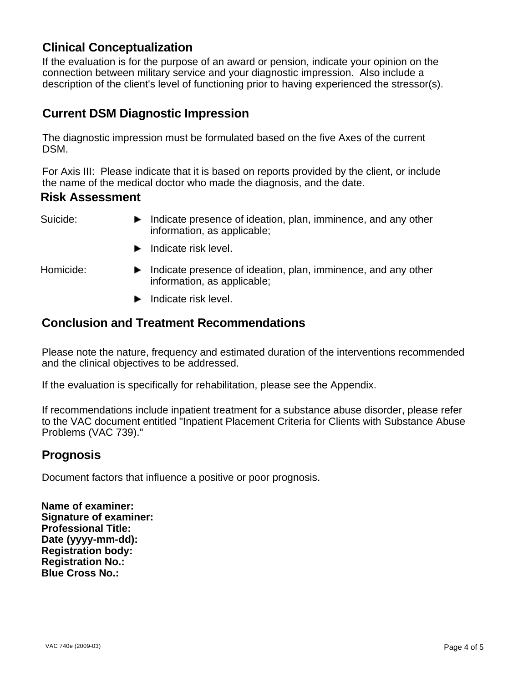### **Clinical Conceptualization**

If the evaluation is for the purpose of an award or pension, indicate your opinion on the connection between military service and your diagnostic impression. Also include a description of the client's level of functioning prior to having experienced the stressor(s).

### **Current DSM Diagnostic Impression**

The diagnostic impression must be formulated based on the five Axes of the current DSM.

For Axis III: Please indicate that it is based on reports provided by the client, or include the name of the medical doctor who made the diagnosis, and the date.

#### **Risk Assessment**

- Suicide: **Indicate presence of ideation, plan, imminence, and any other** information, as applicable;
	- $\blacktriangleright$  Indicate risk level.
- 
- Homicide: **Indicate presence of ideation, plan, imminence, and any other** information, as applicable;
	- $\blacktriangleright$  Indicate risk level.

#### **Conclusion and Treatment Recommendations**

Please note the nature, frequency and estimated duration of the interventions recommended and the clinical objectives to be addressed.

If the evaluation is specifically for rehabilitation, please see the Appendix.

If recommendations include inpatient treatment for a substance abuse disorder, please refer to the VAC document entitled "Inpatient Placement Criteria for Clients with Substance Abuse Problems (VAC 739)."

#### **Prognosis**

Document factors that influence a positive or poor prognosis.

**Name of examiner: Signature of examiner: Professional Title: Date (yyyy-mm-dd): Registration body: Registration No.: Blue Cross No.:**